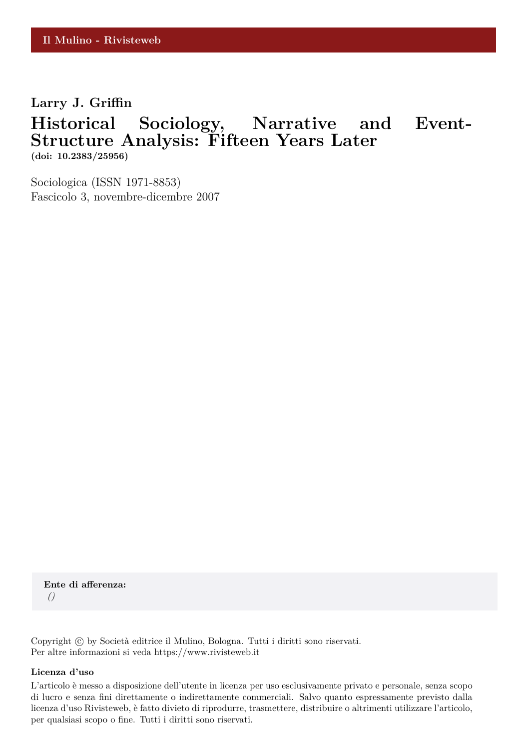**Larry J. Griffin**

# **Historical Sociology, Narrative and Event-Structure Analysis: Fifteen Years Later (doi: 10.2383/25956)**

Sociologica (ISSN 1971-8853) Fascicolo 3, novembre-dicembre 2007

**Ente di afferenza:** *()*

Copyright © by Società editrice il Mulino, Bologna. Tutti i diritti sono riservati. Per altre informazioni si veda https://www.rivisteweb.it

#### **Licenza d'uso**

L'articolo è messo a disposizione dell'utente in licenza per uso esclusivamente privato e personale, senza scopo di lucro e senza fini direttamente o indirettamente commerciali. Salvo quanto espressamente previsto dalla licenza d'uso Rivisteweb, è fatto divieto di riprodurre, trasmettere, distribuire o altrimenti utilizzare l'articolo, per qualsiasi scopo o fine. Tutti i diritti sono riservati.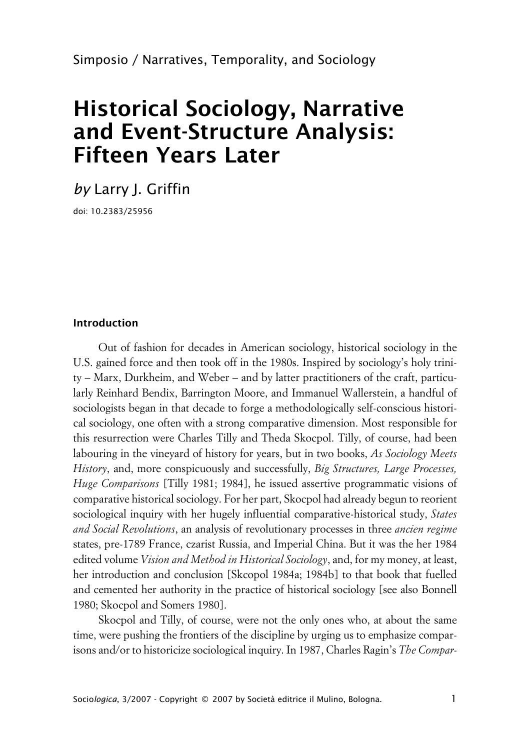# **Historical Sociology, Narrative and Event-Structure Analysis: Fifteen Years Later**

*by* Larry J. Griffin

doi: 10.2383/25956

## **Introduction**

Out of fashion for decades in American sociology, historical sociology in the U.S. gained force and then took off in the 1980s. Inspired by sociology's holy trinity – Marx, Durkheim, and Weber – and by latter practitioners of the craft, particularly Reinhard Bendix, Barrington Moore, and Immanuel Wallerstein, a handful of sociologists began in that decade to forge a methodologically self-conscious historical sociology, one often with a strong comparative dimension. Most responsible for this resurrection were Charles Tilly and Theda Skocpol. Tilly, of course, had been labouring in the vineyard of history for years, but in two books, *As Sociology Meets History*, and, more conspicuously and successfully, *Big Structures, Large Processes, Huge Comparisons* [Tilly 1981; 1984], he issued assertive programmatic visions of comparative historical sociology. For her part, Skocpol had already begun to reorient sociological inquiry with her hugely influential comparative-historical study, *States and Social Revolutions*, an analysis of revolutionary processes in three *ancien regime* states, pre-1789 France, czarist Russia, and Imperial China. But it was the her 1984 edited volume *Vision and Method in Historical Sociology*, and, for my money, at least, her introduction and conclusion [Skcopol 1984a; 1984b] to that book that fuelled and cemented her authority in the practice of historical sociology [see also Bonnell 1980; Skocpol and Somers 1980].

Skocpol and Tilly, of course, were not the only ones who, at about the same time, were pushing the frontiers of the discipline by urging us to emphasize comparisons and/or to historicize sociological inquiry. In 1987, Charles Ragin's *The Compar-*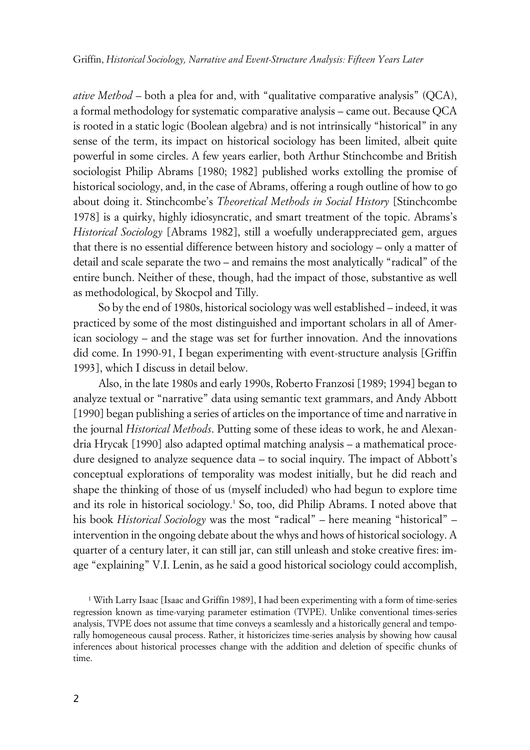*ative Method* – both a plea for and, with "qualitative comparative analysis" (QCA), a formal methodology for systematic comparative analysis – came out. Because QCA is rooted in a static logic (Boolean algebra) and is not intrinsically "historical" in any sense of the term, its impact on historical sociology has been limited, albeit quite powerful in some circles. A few years earlier, both Arthur Stinchcombe and British sociologist Philip Abrams [1980; 1982] published works extolling the promise of historical sociology, and, in the case of Abrams, offering a rough outline of how to go about doing it. Stinchcombe's *Theoretical Methods in Social History* [Stinchcombe 1978] is a quirky, highly idiosyncratic, and smart treatment of the topic. Abrams's *Historical Sociology* [Abrams 1982], still a woefully underappreciated gem, argues that there is no essential difference between history and sociology – only a matter of detail and scale separate the two – and remains the most analytically "radical" of the entire bunch. Neither of these, though, had the impact of those, substantive as well as methodological, by Skocpol and Tilly.

So by the end of 1980s, historical sociology was well established – indeed, it was practiced by some of the most distinguished and important scholars in all of American sociology – and the stage was set for further innovation. And the innovations did come. In 1990-91, I began experimenting with event-structure analysis [Griffin 1993], which I discuss in detail below.

Also, in the late 1980s and early 1990s, Roberto Franzosi [1989; 1994] began to analyze textual or "narrative" data using semantic text grammars, and Andy Abbott [1990] began publishing a series of articles on the importance of time and narrative in the journal *Historical Methods*. Putting some of these ideas to work, he and Alexandria Hrycak [1990] also adapted optimal matching analysis – a mathematical procedure designed to analyze sequence data – to social inquiry. The impact of Abbott's conceptual explorations of temporality was modest initially, but he did reach and shape the thinking of those of us (myself included) who had begun to explore time and its role in historical sociology.<sup>1</sup> So, too, did Philip Abrams. I noted above that his book *Historical Sociology* was the most "radical" – here meaning "historical" – intervention in the ongoing debate about the whys and hows of historical sociology. A quarter of a century later, it can still jar, can still unleash and stoke creative fires: image "explaining" V.I. Lenin, as he said a good historical sociology could accomplish,

<sup>1</sup> With Larry Isaac [Isaac and Griffin 1989], I had been experimenting with a form of time-series regression known as time-varying parameter estimation (TVPE). Unlike conventional times-series analysis, TVPE does not assume that time conveys a seamlessly and a historically general and temporally homogeneous causal process. Rather, it historicizes time-series analysis by showing how causal inferences about historical processes change with the addition and deletion of specific chunks of time.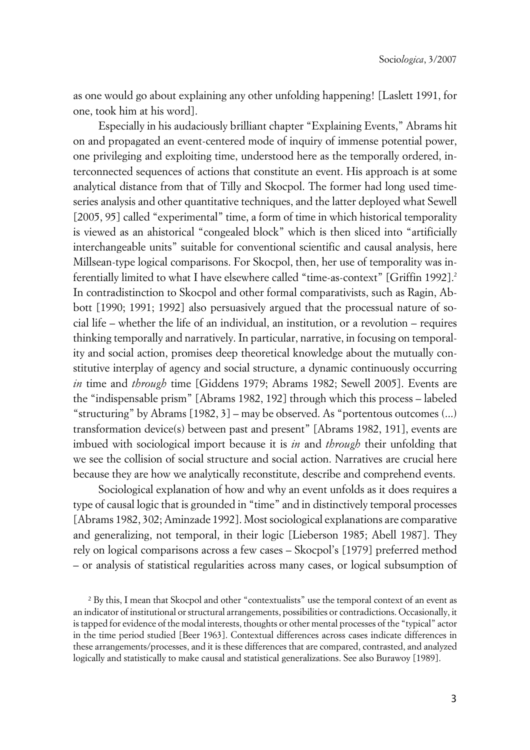as one would go about explaining any other unfolding happening! [Laslett 1991, for one, took him at his word].

Especially in his audaciously brilliant chapter "Explaining Events," Abrams hit on and propagated an event-centered mode of inquiry of immense potential power, one privileging and exploiting time, understood here as the temporally ordered, interconnected sequences of actions that constitute an event. His approach is at some analytical distance from that of Tilly and Skocpol. The former had long used timeseries analysis and other quantitative techniques, and the latter deployed what Sewell [2005, 95] called "experimental" time, a form of time in which historical temporality is viewed as an ahistorical "congealed block" which is then sliced into "artificially interchangeable units" suitable for conventional scientific and causal analysis, here Millsean-type logical comparisons. For Skocpol, then, her use of temporality was inferentially limited to what I have elsewhere called "time-as-context" [Griffin 1992].<sup>2</sup> In contradistinction to Skocpol and other formal comparativists, such as Ragin, Abbott [1990; 1991; 1992] also persuasively argued that the processual nature of social life – whether the life of an individual, an institution, or a revolution – requires thinking temporally and narratively. In particular, narrative, in focusing on temporality and social action, promises deep theoretical knowledge about the mutually constitutive interplay of agency and social structure, a dynamic continuously occurring *in* time and *through* time [Giddens 1979; Abrams 1982; Sewell 2005]. Events are the "indispensable prism" [Abrams 1982, 192] through which this process – labeled "structuring" by Abrams [1982, 3] – may be observed. As "portentous outcomes (...) transformation device(s) between past and present" [Abrams 1982, 191], events are imbued with sociological import because it is *in* and *through* their unfolding that we see the collision of social structure and social action. Narratives are crucial here because they are how we analytically reconstitute, describe and comprehend events.

Sociological explanation of how and why an event unfolds as it does requires a type of causal logic that is grounded in "time" and in distinctively temporal processes [Abrams 1982, 302; Aminzade 1992]. Most sociological explanations are comparative and generalizing, not temporal, in their logic [Lieberson 1985; Abell 1987]. They rely on logical comparisons across a few cases – Skocpol's [1979] preferred method – or analysis of statistical regularities across many cases, or logical subsumption of

<sup>&</sup>lt;sup>2</sup> By this, I mean that Skocpol and other "contextualists" use the temporal context of an event as an indicator of institutional or structural arrangements, possibilities or contradictions. Occasionally, it is tapped for evidence of the modal interests, thoughts or other mental processes of the "typical" actor in the time period studied [Beer 1963]. Contextual differences across cases indicate differences in these arrangements/processes, and it is these differences that are compared, contrasted, and analyzed logically and statistically to make causal and statistical generalizations. See also Burawoy [1989].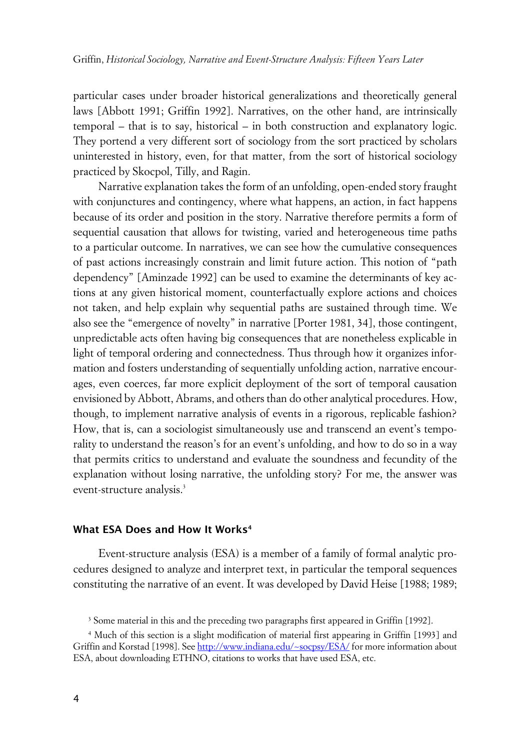particular cases under broader historical generalizations and theoretically general laws [Abbott 1991; Griffin 1992]. Narratives, on the other hand, are intrinsically temporal – that is to say, historical – in both construction and explanatory logic. They portend a very different sort of sociology from the sort practiced by scholars uninterested in history, even, for that matter, from the sort of historical sociology practiced by Skocpol, Tilly, and Ragin.

Narrative explanation takes the form of an unfolding, open-ended story fraught with conjunctures and contingency, where what happens, an action, in fact happens because of its order and position in the story. Narrative therefore permits a form of sequential causation that allows for twisting, varied and heterogeneous time paths to a particular outcome. In narratives, we can see how the cumulative consequences of past actions increasingly constrain and limit future action. This notion of "path dependency" [Aminzade 1992] can be used to examine the determinants of key actions at any given historical moment, counterfactually explore actions and choices not taken, and help explain why sequential paths are sustained through time. We also see the "emergence of novelty" in narrative [Porter 1981, 34], those contingent, unpredictable acts often having big consequences that are nonetheless explicable in light of temporal ordering and connectedness. Thus through how it organizes information and fosters understanding of sequentially unfolding action, narrative encourages, even coerces, far more explicit deployment of the sort of temporal causation envisioned by Abbott, Abrams, and others than do other analytical procedures. How, though, to implement narrative analysis of events in a rigorous, replicable fashion? How, that is, can a sociologist simultaneously use and transcend an event's temporality to understand the reason's for an event's unfolding, and how to do so in a way that permits critics to understand and evaluate the soundness and fecundity of the explanation without losing narrative, the unfolding story? For me, the answer was event-structure analysis.<sup>3</sup>

## **xWhat ESA Does and How It Works<sup>4</sup>**

Event-structure analysis (ESA) is a member of a family of formal analytic procedures designed to analyze and interpret text, in particular the temporal sequences constituting the narrative of an event. It was developed by David Heise [1988; 1989;

<sup>3</sup> Some material in this and the preceding two paragraphs first appeared in Griffin [1992].

<sup>4</sup> Much of this section is a slight modification of material first appearing in Griffin [1993] and Griffin and Korstad [1998]. See <http://www.indiana.edu/~socpsy/ESA/>for more information about ESA, about downloading ETHNO, citations to works that have used ESA, etc.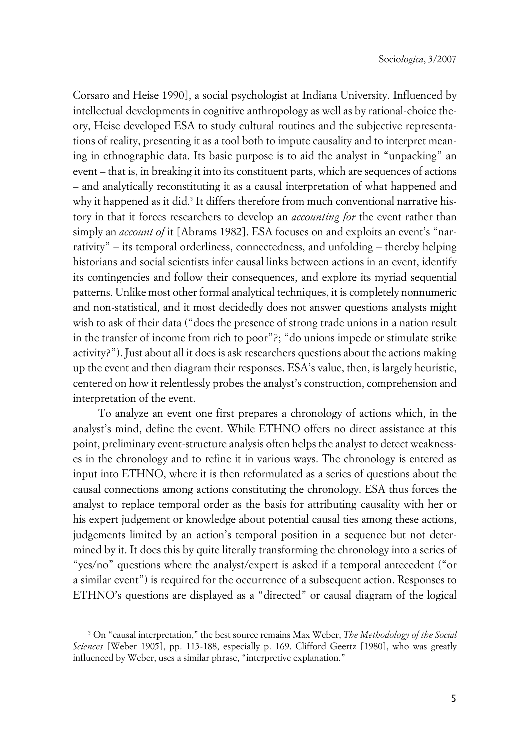Corsaro and Heise 1990], a social psychologist at Indiana University. Influenced by intellectual developments in cognitive anthropology as well as by rational-choice theory, Heise developed ESA to study cultural routines and the subjective representations of reality, presenting it as a tool both to impute causality and to interpret meaning in ethnographic data. Its basic purpose is to aid the analyst in "unpacking" an event – that is, in breaking it into its constituent parts, which are sequences of actions – and analytically reconstituting it as a causal interpretation of what happened and why it happened as it did.<sup>5</sup> It differs therefore from much conventional narrative history in that it forces researchers to develop an *accounting for* the event rather than simply an *account of* it [Abrams 1982]. ESA focuses on and exploits an event's "narrativity" – its temporal orderliness, connectedness, and unfolding – thereby helping historians and social scientists infer causal links between actions in an event, identify its contingencies and follow their consequences, and explore its myriad sequential patterns. Unlike most other formal analytical techniques, it is completely nonnumeric and non-statistical, and it most decidedly does not answer questions analysts might wish to ask of their data ("does the presence of strong trade unions in a nation result in the transfer of income from rich to poor"?; "do unions impede or stimulate strike activity?"). Just about all it does is ask researchers questions about the actions making up the event and then diagram their responses. ESA's value, then, is largely heuristic, centered on how it relentlessly probes the analyst's construction, comprehension and interpretation of the event.

To analyze an event one first prepares a chronology of actions which, in the analyst's mind, define the event. While ETHNO offers no direct assistance at this point, preliminary event-structure analysis often helps the analyst to detect weaknesses in the chronology and to refine it in various ways. The chronology is entered as input into ETHNO, where it is then reformulated as a series of questions about the causal connections among actions constituting the chronology. ESA thus forces the analyst to replace temporal order as the basis for attributing causality with her or his expert judgement or knowledge about potential causal ties among these actions, judgements limited by an action's temporal position in a sequence but not determined by it. It does this by quite literally transforming the chronology into a series of "yes/no" questions where the analyst/expert is asked if a temporal antecedent ("or a similar event") is required for the occurrence of a subsequent action. Responses to ETHNO's questions are displayed as a "directed" or causal diagram of the logical

<sup>5</sup> On "causal interpretation," the best source remains Max Weber, *The Methodology of the Social Sciences* [Weber 1905], pp. 113-188, especially p. 169. Clifford Geertz [1980], who was greatly influenced by Weber, uses a similar phrase, "interpretive explanation."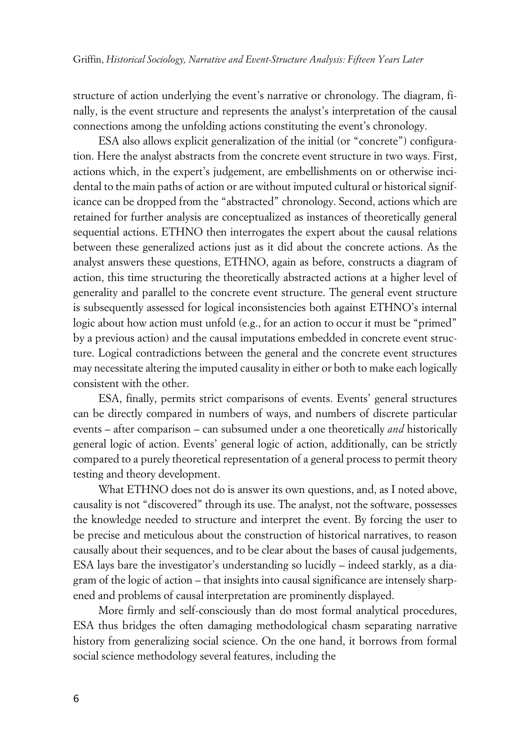structure of action underlying the event's narrative or chronology. The diagram, finally, is the event structure and represents the analyst's interpretation of the causal connections among the unfolding actions constituting the event's chronology.

ESA also allows explicit generalization of the initial (or "concrete") configuration. Here the analyst abstracts from the concrete event structure in two ways. First, actions which, in the expert's judgement, are embellishments on or otherwise incidental to the main paths of action or are without imputed cultural or historical significance can be dropped from the "abstracted" chronology. Second, actions which are retained for further analysis are conceptualized as instances of theoretically general sequential actions. ETHNO then interrogates the expert about the causal relations between these generalized actions just as it did about the concrete actions. As the analyst answers these questions, ETHNO, again as before, constructs a diagram of action, this time structuring the theoretically abstracted actions at a higher level of generality and parallel to the concrete event structure. The general event structure is subsequently assessed for logical inconsistencies both against ETHNO's internal logic about how action must unfold (e.g., for an action to occur it must be "primed" by a previous action) and the causal imputations embedded in concrete event structure. Logical contradictions between the general and the concrete event structures may necessitate altering the imputed causality in either or both to make each logically consistent with the other.

ESA, finally, permits strict comparisons of events. Events' general structures can be directly compared in numbers of ways, and numbers of discrete particular events – after comparison – can subsumed under a one theoretically *and* historically general logic of action. Events' general logic of action, additionally, can be strictly compared to a purely theoretical representation of a general process to permit theory testing and theory development.

What ETHNO does not do is answer its own questions, and, as I noted above, causality is not "discovered" through its use. The analyst, not the software, possesses the knowledge needed to structure and interpret the event. By forcing the user to be precise and meticulous about the construction of historical narratives, to reason causally about their sequences, and to be clear about the bases of causal judgements, ESA lays bare the investigator's understanding so lucidly – indeed starkly, as a diagram of the logic of action – that insights into causal significance are intensely sharpened and problems of causal interpretation are prominently displayed.

More firmly and self-consciously than do most formal analytical procedures, ESA thus bridges the often damaging methodological chasm separating narrative history from generalizing social science. On the one hand, it borrows from formal social science methodology several features, including the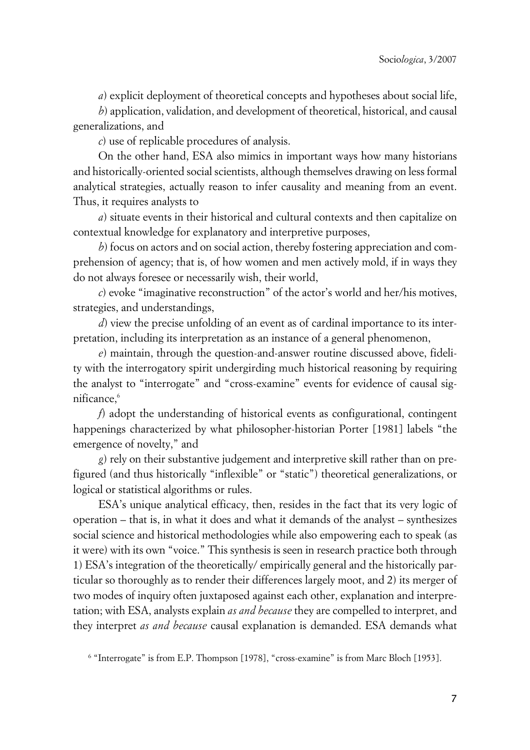*a*) explicit deployment of theoretical concepts and hypotheses about social life,

*b*) application, validation, and development of theoretical, historical, and causal generalizations, and

*c*) use of replicable procedures of analysis.

On the other hand, ESA also mimics in important ways how many historians and historically-oriented social scientists, although themselves drawing on less formal analytical strategies, actually reason to infer causality and meaning from an event. Thus, it requires analysts to

*a*) situate events in their historical and cultural contexts and then capitalize on contextual knowledge for explanatory and interpretive purposes,

*b*) focus on actors and on social action, thereby fostering appreciation and comprehension of agency; that is, of how women and men actively mold, if in ways they do not always foresee or necessarily wish, their world,

*c*) evoke "imaginative reconstruction" of the actor's world and her/his motives, strategies, and understandings,

*d*) view the precise unfolding of an event as of cardinal importance to its interpretation, including its interpretation as an instance of a general phenomenon,

*e*) maintain, through the question-and-answer routine discussed above, fidelity with the interrogatory spirit undergirding much historical reasoning by requiring the analyst to "interrogate" and "cross-examine" events for evidence of causal significance.<sup>6</sup>

*f*) adopt the understanding of historical events as configurational, contingent happenings characterized by what philosopher-historian Porter [1981] labels "the emergence of novelty," and

*g*) rely on their substantive judgement and interpretive skill rather than on prefigured (and thus historically "inflexible" or "static") theoretical generalizations, or logical or statistical algorithms or rules.

ESA's unique analytical efficacy, then, resides in the fact that its very logic of operation – that is, in what it does and what it demands of the analyst – synthesizes social science and historical methodologies while also empowering each to speak (as it were) with its own "voice." This synthesis is seen in research practice both through 1) ESA's integration of the theoretically/ empirically general and the historically particular so thoroughly as to render their differences largely moot, and 2) its merger of two modes of inquiry often juxtaposed against each other, explanation and interpretation; with ESA, analysts explain *as and because* they are compelled to interpret, and they interpret *as and because* causal explanation is demanded. ESA demands what

<sup>6</sup> "Interrogate" is from E.P. Thompson [1978], "cross-examine" is from Marc Bloch [1953].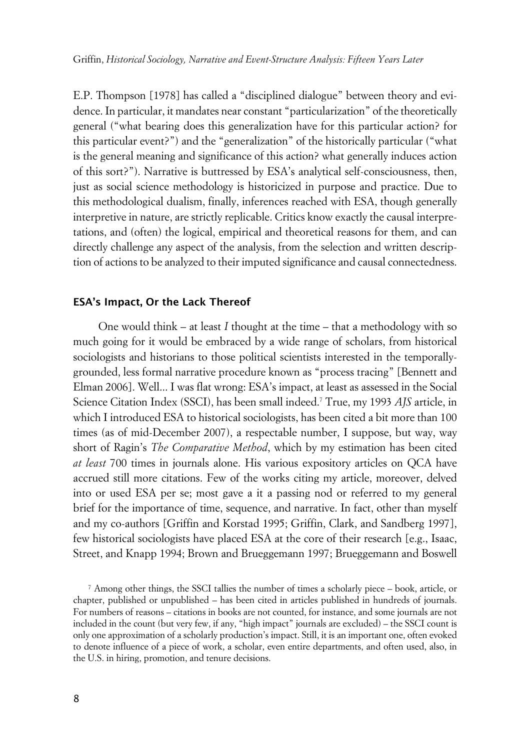E.P. Thompson [1978] has called a "disciplined dialogue" between theory and evidence. In particular, it mandates near constant "particularization" of the theoretically general ("what bearing does this generalization have for this particular action? for this particular event?") and the "generalization" of the historically particular ("what is the general meaning and significance of this action? what generally induces action of this sort?"). Narrative is buttressed by ESA's analytical self-consciousness, then, just as social science methodology is historicized in purpose and practice. Due to this methodological dualism, finally, inferences reached with ESA, though generally interpretive in nature, are strictly replicable. Critics know exactly the causal interpretations, and (often) the logical, empirical and theoretical reasons for them, and can directly challenge any aspect of the analysis, from the selection and written description of actions to be analyzed to their imputed significance and causal connectedness.

## **xESA's Impact, Or the Lack Thereof**

One would think – at least *I* thought at the time – that a methodology with so much going for it would be embraced by a wide range of scholars, from historical sociologists and historians to those political scientists interested in the temporallygrounded, less formal narrative procedure known as "process tracing" [Bennett and Elman 2006]. Well... I was flat wrong: ESA's impact, at least as assessed in the Social Science Citation Index (SSCI), has been small indeed.<sup>7</sup> True, my 1993 *AJS* article, in which I introduced ESA to historical sociologists, has been cited a bit more than 100 times (as of mid-December 2007), a respectable number, I suppose, but way, way short of Ragin's *The Comparative Method*, which by my estimation has been cited *at least* 700 times in journals alone. His various expository articles on QCA have accrued still more citations. Few of the works citing my article, moreover, delved into or used ESA per se; most gave a it a passing nod or referred to my general brief for the importance of time, sequence, and narrative. In fact, other than myself and my co-authors [Griffin and Korstad 1995; Griffin, Clark, and Sandberg 1997], few historical sociologists have placed ESA at the core of their research [e.g., Isaac, Street, and Knapp 1994; Brown and Brueggemann 1997; Brueggemann and Boswell

<sup>7</sup> Among other things, the SSCI tallies the number of times a scholarly piece – book, article, or chapter, published or unpublished – has been cited in articles published in hundreds of journals. For numbers of reasons – citations in books are not counted, for instance, and some journals are not included in the count (but very few, if any, "high impact" journals are excluded) – the SSCI count is only one approximation of a scholarly production's impact. Still, it is an important one, often evoked to denote influence of a piece of work, a scholar, even entire departments, and often used, also, in the U.S. in hiring, promotion, and tenure decisions.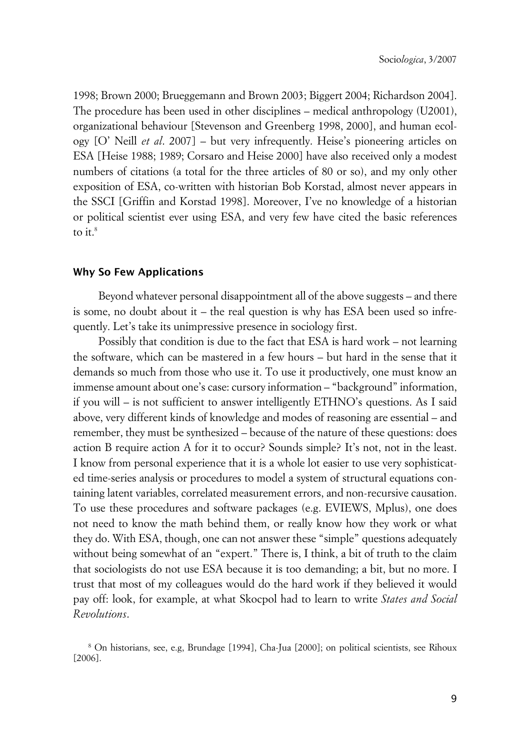1998; Brown 2000; Brueggemann and Brown 2003; Biggert 2004; Richardson 2004]. The procedure has been used in other disciplines – medical anthropology (U2001), organizational behaviour [Stevenson and Greenberg 1998, 2000], and human ecology [O' Neill *et al*. 2007] – but very infrequently. Heise's pioneering articles on ESA [Heise 1988; 1989; Corsaro and Heise 2000] have also received only a modest numbers of citations (a total for the three articles of 80 or so), and my only other exposition of ESA, co-written with historian Bob Korstad, almost never appears in the SSCI [Griffin and Korstad 1998]. Moreover, I've no knowledge of a historian or political scientist ever using ESA, and very few have cited the basic references to it. $8$ 

#### **xWhy So Few Applications**

Beyond whatever personal disappointment all of the above suggests – and there is some, no doubt about it – the real question is why has ESA been used so infrequently. Let's take its unimpressive presence in sociology first.

Possibly that condition is due to the fact that ESA is hard work – not learning the software, which can be mastered in a few hours – but hard in the sense that it demands so much from those who use it. To use it productively, one must know an immense amount about one's case: cursory information – "background" information, if you will – is not sufficient to answer intelligently ETHNO's questions. As I said above, very different kinds of knowledge and modes of reasoning are essential – and remember, they must be synthesized – because of the nature of these questions: does action B require action A for it to occur? Sounds simple? It's not, not in the least. I know from personal experience that it is a whole lot easier to use very sophisticated time-series analysis or procedures to model a system of structural equations containing latent variables, correlated measurement errors, and non-recursive causation. To use these procedures and software packages (e.g. EVIEWS, Mplus), one does not need to know the math behind them, or really know how they work or what they do. With ESA, though, one can not answer these "simple" questions adequately without being somewhat of an "expert." There is, I think, a bit of truth to the claim that sociologists do not use ESA because it is too demanding; a bit, but no more. I trust that most of my colleagues would do the hard work if they believed it would pay off: look, for example, at what Skocpol had to learn to write *States and Social Revolutions*.

<sup>8</sup> On historians, see, e.g, Brundage [1994], Cha-Jua [2000]; on political scientists, see Rihoux [2006].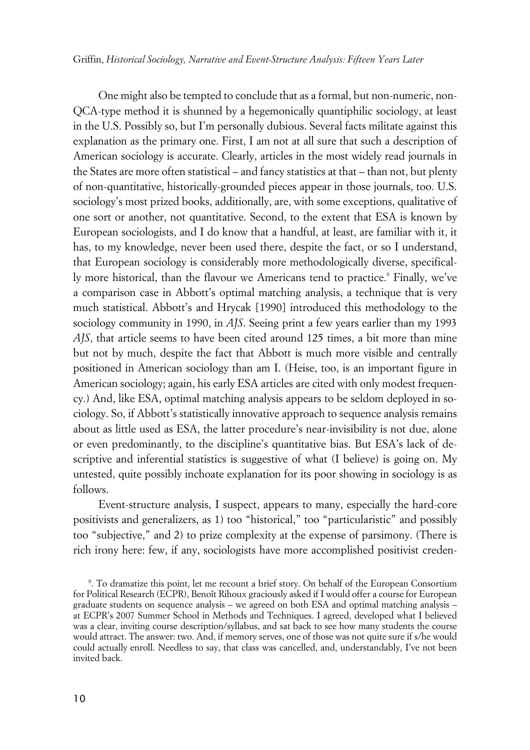Griffin, *Historical Sociology, Narrative and Event-Structure Analysis: Fifteen Years Later*

One might also be tempted to conclude that as a formal, but non-numeric, non-QCA-type method it is shunned by a hegemonically quantiphilic sociology, at least in the U.S. Possibly so, but I'm personally dubious. Several facts militate against this explanation as the primary one. First, I am not at all sure that such a description of American sociology is accurate. Clearly, articles in the most widely read journals in the States are more often statistical – and fancy statistics at that – than not, but plenty of non-quantitative, historically-grounded pieces appear in those journals, too. U.S. sociology's most prized books, additionally, are, with some exceptions, qualitative of one sort or another, not quantitative. Second, to the extent that ESA is known by European sociologists, and I do know that a handful, at least, are familiar with it, it has, to my knowledge, never been used there, despite the fact, or so I understand, that European sociology is considerably more methodologically diverse, specifically more historical, than the flavour we Americans tend to practice.° Finally, we've a comparison case in Abbott's optimal matching analysis, a technique that is very much statistical. Abbott's and Hrycak [1990] introduced this methodology to the sociology community in 1990, in *AJS*. Seeing print a few years earlier than my 1993 *AJS*, that article seems to have been cited around 125 times, a bit more than mine but not by much, despite the fact that Abbott is much more visible and centrally positioned in American sociology than am I. (Heise, too, is an important figure in American sociology; again, his early ESA articles are cited with only modest frequency.) And, like ESA, optimal matching analysis appears to be seldom deployed in sociology. So, if Abbott's statistically innovative approach to sequence analysis remains about as little used as ESA, the latter procedure's near-invisibility is not due, alone or even predominantly, to the discipline's quantitative bias. But ESA's lack of descriptive and inferential statistics is suggestive of what (I believe) is going on. My untested, quite possibly inchoate explanation for its poor showing in sociology is as follows.

Event-structure analysis, I suspect, appears to many, especially the hard-core positivists and generalizers, as 1) too "historical," too "particularistic" and possibly too "subjective," and 2) to prize complexity at the expense of parsimony. (There is rich irony here: few, if any, sociologists have more accomplished positivist creden-

<sup>9</sup> . To dramatize this point, let me recount a brief story. On behalf of the European Consortium for Political Research (ECPR), Benoît Rihoux graciously asked if I would offer a course for European graduate students on sequence analysis – we agreed on both ESA and optimal matching analysis – at ECPR's 2007 Summer School in Methods and Techniques. I agreed, developed what I believed was a clear, inviting course description/syllabus, and sat back to see how many students the course would attract. The answer: two. And, if memory serves, one of those was not quite sure if s/he would could actually enroll. Needless to say, that class was cancelled, and, understandably, I've not been invited back.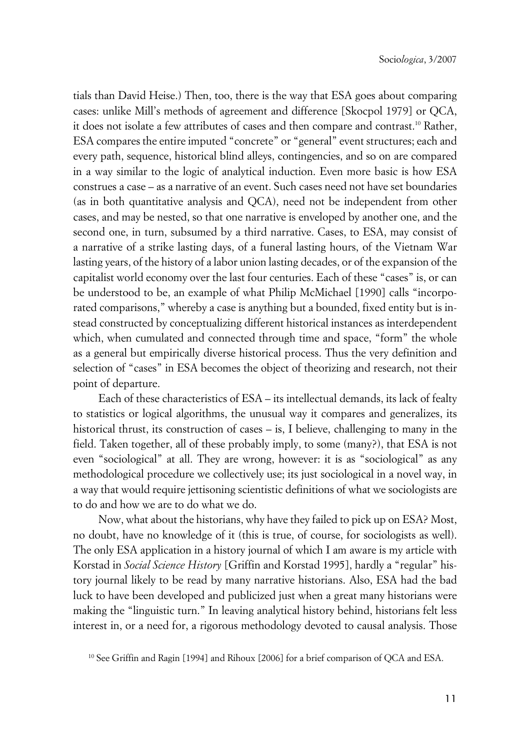tials than David Heise.) Then, too, there is the way that ESA goes about comparing cases: unlike Mill's methods of agreement and difference [Skocpol 1979] or QCA, it does not isolate a few attributes of cases and then compare and contrast.<sup>10</sup> Rather, ESA compares the entire imputed "concrete" or "general" event structures; each and every path, sequence, historical blind alleys, contingencies, and so on are compared in a way similar to the logic of analytical induction. Even more basic is how ESA construes a case – as a narrative of an event. Such cases need not have set boundaries (as in both quantitative analysis and QCA), need not be independent from other cases, and may be nested, so that one narrative is enveloped by another one, and the second one, in turn, subsumed by a third narrative. Cases, to ESA, may consist of a narrative of a strike lasting days, of a funeral lasting hours, of the Vietnam War lasting years, of the history of a labor union lasting decades, or of the expansion of the capitalist world economy over the last four centuries. Each of these "cases" is, or can be understood to be, an example of what Philip McMichael [1990] calls "incorporated comparisons," whereby a case is anything but a bounded, fixed entity but is instead constructed by conceptualizing different historical instances as interdependent which, when cumulated and connected through time and space, "form" the whole as a general but empirically diverse historical process. Thus the very definition and selection of "cases" in ESA becomes the object of theorizing and research, not their point of departure.

Each of these characteristics of ESA – its intellectual demands, its lack of fealty to statistics or logical algorithms, the unusual way it compares and generalizes, its historical thrust, its construction of cases – is, I believe, challenging to many in the field. Taken together, all of these probably imply, to some (many?), that ESA is not even "sociological" at all. They are wrong, however: it is as "sociological" as any methodological procedure we collectively use; its just sociological in a novel way, in a way that would require jettisoning scientistic definitions of what we sociologists are to do and how we are to do what we do.

Now, what about the historians, why have they failed to pick up on ESA? Most, no doubt, have no knowledge of it (this is true, of course, for sociologists as well). The only ESA application in a history journal of which I am aware is my article with Korstad in *Social Science History* [Griffin and Korstad 1995], hardly a "regular" history journal likely to be read by many narrative historians. Also, ESA had the bad luck to have been developed and publicized just when a great many historians were making the "linguistic turn." In leaving analytical history behind, historians felt less interest in, or a need for, a rigorous methodology devoted to causal analysis. Those

<sup>&</sup>lt;sup>10</sup> See Griffin and Ragin [1994] and Rihoux [2006] for a brief comparison of OCA and ESA.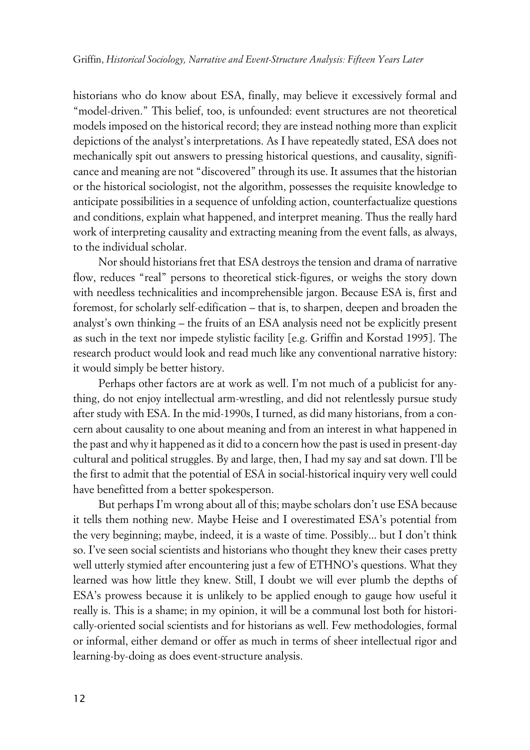historians who do know about ESA, finally, may believe it excessively formal and "model-driven." This belief, too, is unfounded: event structures are not theoretical models imposed on the historical record; they are instead nothing more than explicit depictions of the analyst's interpretations. As I have repeatedly stated, ESA does not mechanically spit out answers to pressing historical questions, and causality, significance and meaning are not "discovered" through its use. It assumes that the historian or the historical sociologist, not the algorithm, possesses the requisite knowledge to anticipate possibilities in a sequence of unfolding action, counterfactualize questions and conditions, explain what happened, and interpret meaning. Thus the really hard work of interpreting causality and extracting meaning from the event falls, as always, to the individual scholar.

Nor should historians fret that ESA destroys the tension and drama of narrative flow, reduces "real" persons to theoretical stick-figures, or weighs the story down with needless technicalities and incomprehensible jargon. Because ESA is, first and foremost, for scholarly self-edification – that is, to sharpen, deepen and broaden the analyst's own thinking – the fruits of an ESA analysis need not be explicitly present as such in the text nor impede stylistic facility [e.g. Griffin and Korstad 1995]. The research product would look and read much like any conventional narrative history: it would simply be better history.

Perhaps other factors are at work as well. I'm not much of a publicist for anything, do not enjoy intellectual arm-wrestling, and did not relentlessly pursue study after study with ESA. In the mid-1990s, I turned, as did many historians, from a concern about causality to one about meaning and from an interest in what happened in the past and why it happened as it did to a concern how the past is used in present-day cultural and political struggles. By and large, then, I had my say and sat down. I'll be the first to admit that the potential of ESA in social-historical inquiry very well could have benefitted from a better spokesperson.

But perhaps I'm wrong about all of this; maybe scholars don't use ESA because it tells them nothing new. Maybe Heise and I overestimated ESA's potential from the very beginning; maybe, indeed, it is a waste of time. Possibly... but I don't think so. I've seen social scientists and historians who thought they knew their cases pretty well utterly stymied after encountering just a few of ETHNO's questions. What they learned was how little they knew. Still, I doubt we will ever plumb the depths of ESA's prowess because it is unlikely to be applied enough to gauge how useful it really is. This is a shame; in my opinion, it will be a communal lost both for historically-oriented social scientists and for historians as well. Few methodologies, formal or informal, either demand or offer as much in terms of sheer intellectual rigor and learning-by-doing as does event-structure analysis.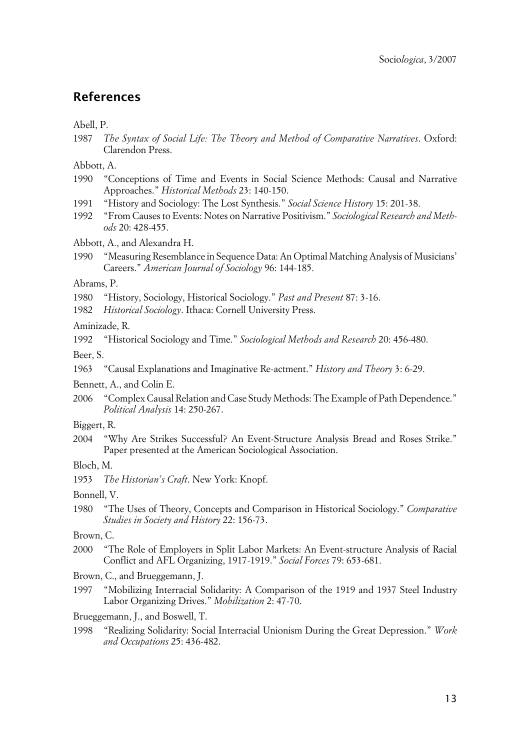## **References**

Abell, P.

1987 *The Syntax of Social Life: The Theory and Method of Comparative Narratives*. Oxford: Clarendon Press.

Abbott, A.

- 1990 "Conceptions of Time and Events in Social Science Methods: Causal and Narrative Approaches." *Historical Methods* 23: 140-150.
- 1991 "History and Sociology: The Lost Synthesis." *Social Science History* 15: 201-38.
- 1992 "From Causes to Events: Notes on Narrative Positivism." *Sociological Research and Methods* 20: 428-455.

Abbott, A., and Alexandra H.

1990 "Measuring Resemblance in Sequence Data: An Optimal Matching Analysis of Musicians' Careers." *American Journal of Sociology* 96: 144-185.

Abrams, P.

- 1980 "History, Sociology, Historical Sociology." *Past and Present* 87: 3-16.
- 1982 *Historical Sociology*. Ithaca: Cornell University Press.

Aminizade, R.

1992 "Historical Sociology and Time." *Sociological Methods and Research* 20: 456-480.

Beer, S.

1963 "Causal Explanations and Imaginative Re-actment." *History and Theory* 3: 6-29.

Bennett, A., and Colin E.

- 2006 "Complex Causal Relation and Case Study Methods: The Example of Path Dependence." *Political Analysis* 14: 250-267.
- Biggert, R.
- 2004 "Why Are Strikes Successful? An Event-Structure Analysis Bread and Roses Strike." Paper presented at the American Sociological Association.

Bloch, M.

1953 *The Historian's Craft*. New York: Knopf.

Bonnell, V.

1980 "The Uses of Theory, Concepts and Comparison in Historical Sociology." *Comparative Studies in Society and History* 22: 156-73.

Brown, C.

- 2000 "The Role of Employers in Split Labor Markets: An Event-structure Analysis of Racial Conflict and AFL Organizing, 1917-1919." *Social Forces* 79: 653-681.
- Brown, C., and Brueggemann, J.
- 1997 "Mobilizing Interracial Solidarity: A Comparison of the 1919 and 1937 Steel Industry Labor Organizing Drives." *Mobilization* 2: 47-70.

Brueggemann, J., and Boswell, T.

1998 "Realizing Solidarity: Social Interracial Unionism During the Great Depression." *Work and Occupations* 25: 436-482.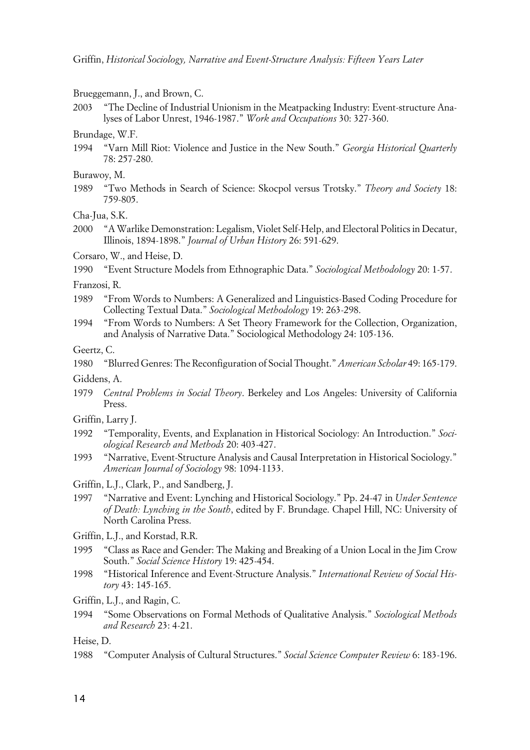Brueggemann, J., and Brown, C.

2003 "The Decline of Industrial Unionism in the Meatpacking Industry: Event-structure Analyses of Labor Unrest, 1946-1987." *Work and Occupations* 30: 327-360.

#### Brundage, W.F.

- 1994 "Varn Mill Riot: Violence and Justice in the New South." *Georgia Historical Quarterly* 78: 257-280.
- Burawoy, M.
- 1989 "Two Methods in Search of Science: Skocpol versus Trotsky." *Theory and Society* 18: 759-805.

Cha-Jua, S.K.

2000 "A Warlike Demonstration: Legalism, Violet Self-Help, and Electoral Politics in Decatur, Illinois, 1894-1898." *Journal of Urban History* 26: 591-629.

Corsaro, W., and Heise, D.

1990 "Event Structure Models from Ethnographic Data." *Sociological Methodology* 20: 1-57.

Franzosi, R.

- 1989 "From Words to Numbers: A Generalized and Linguistics-Based Coding Procedure for Collecting Textual Data." *Sociological Methodology* 19: 263-298.
- 1994 "From Words to Numbers: A Set Theory Framework for the Collection, Organization, and Analysis of Narrative Data." Sociological Methodology 24: 105-136.
- Geertz, C.
- 1980 "Blurred Genres: The Reconfiguration of Social Thought." *American Scholar* 49: 165-179.
- Giddens, A.
- 1979 *Central Problems in Social Theory*. Berkeley and Los Angeles: University of California Press.
- Griffin, Larry J.
- 1992 "Temporality, Events, and Explanation in Historical Sociology: An Introduction." *Sociological Research and Methods* 20: 403-427.
- 1993 "Narrative, Event-Structure Analysis and Causal Interpretation in Historical Sociology." *American Journal of Sociology* 98: 1094-1133.
- Griffin, L.J., Clark, P., and Sandberg, J.
- 1997 "Narrative and Event: Lynching and Historical Sociology." Pp. 24-47 in *Under Sentence of Death: Lynching in the South*, edited by F. Brundage. Chapel Hill, NC: University of North Carolina Press.
- Griffin, L.J., and Korstad, R.R.
- 1995 "Class as Race and Gender: The Making and Breaking of a Union Local in the Jim Crow South." *Social Science History* 19: 425-454.
- 1998 "Historical Inference and Event-Structure Analysis." *International Review of Social History* 43: 145-165.

Griffin, L.J., and Ragin, C.

1994 "Some Observations on Formal Methods of Qualitative Analysis." *Sociological Methods and Research* 23: 4-21.

Heise, D.

1988 "Computer Analysis of Cultural Structures." *Social Science Computer Review* 6: 183-196.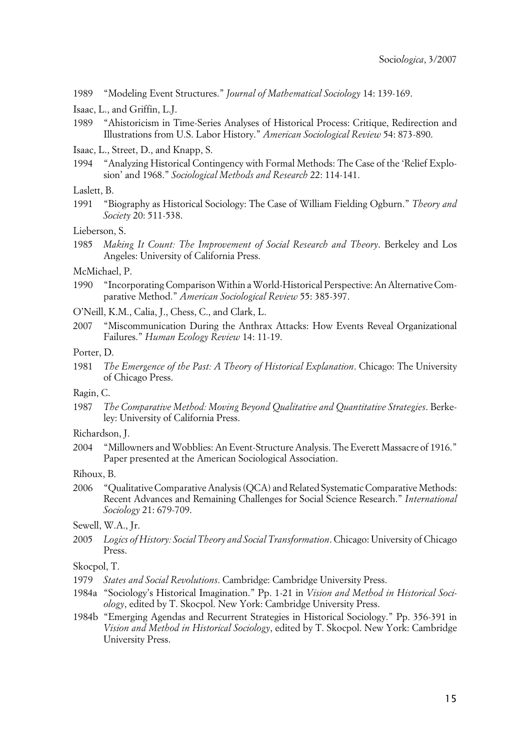1989 "Modeling Event Structures." *Journal of Mathematical Sociology* 14: 139-169.

- Isaac, L., and Griffin, L.J.
- 1989 "Ahistoricism in Time-Series Analyses of Historical Process: Critique, Redirection and Illustrations from U.S. Labor History." *American Sociological Review* 54: 873-890.
- Isaac, L., Street, D., and Knapp, S.
- 1994 "Analyzing Historical Contingency with Formal Methods: The Case of the 'Relief Explosion' and 1968." *Sociological Methods and Research* 22: 114-141.

## Laslett, B.

1991 "Biography as Historical Sociology: The Case of William Fielding Ogburn." *Theory and Society* 20: 511-538.

#### Lieberson, S.

1985 *Making It Count: The Improvement of Social Research and Theory*. Berkeley and Los Angeles: University of California Press.

## McMichael, P.

- 1990 "Incorporating Comparison Within a World-Historical Perspective: An Alternative Comparative Method." *American Sociological Review* 55: 385-397.
- O'Neill, K.M., Calia, J., Chess, C., and Clark, L.
- 2007 "Miscommunication During the Anthrax Attacks: How Events Reveal Organizational Failures." *Human Ecology Review* 14: 11-19.

#### Porter, D.

1981 *The Emergence of the Past: A Theory of Historical Explanation*. Chicago: The University of Chicago Press.

#### Ragin, C.

1987 *The Comparative Method: Moving Beyond Qualitative and Quantitative Strategies*. Berkeley: University of California Press.

#### Richardson, J.

2004 "Millowners and Wobblies: An Event-Structure Analysis. The Everett Massacre of 1916." Paper presented at the American Sociological Association.

#### Rihoux, B.

2006 "Qualitative Comparative Analysis (QCA) and Related Systematic Comparative Methods: Recent Advances and Remaining Challenges for Social Science Research." *International Sociology* 21: 679-709.

## Sewell, W.A., Jr.

2005 *Logics of History: Social Theory and Social Transformation*. Chicago: University of Chicago Press.

Skocpol, T.

- 1979 *States and Social Revolutions*. Cambridge: Cambridge University Press.
- 1984a "Sociology's Historical Imagination." Pp. 1-21 in *Vision and Method in Historical Sociology*, edited by T. Skocpol. New York: Cambridge University Press.
- 1984b "Emerging Agendas and Recurrent Strategies in Historical Sociology." Pp. 356-391 in *Vision and Method in Historical Sociology*, edited by T. Skocpol. New York: Cambridge University Press.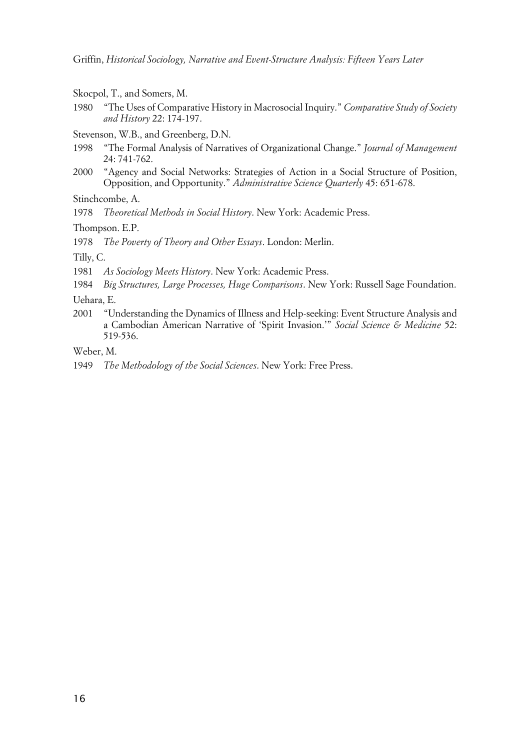Skocpol, T., and Somers, M.

- 1980 "The Uses of Comparative History in Macrosocial Inquiry." *Comparative Study of Society and History* 22: 174-197.
- Stevenson, W.B., and Greenberg, D.N.
- 1998 "The Formal Analysis of Narratives of Organizational Change." *Journal of Management* 24: 741-762.
- 2000 "Agency and Social Networks: Strategies of Action in a Social Structure of Position, Opposition, and Opportunity." *Administrative Science Quarterly* 45: 651-678.

Stinchcombe, A.

1978 *Theoretical Methods in Social History*. New York: Academic Press.

Thompson. E.P.

1978 *The Poverty of Theory and Other Essays*. London: Merlin.

Tilly, C.

1981 *As Sociology Meets History*. New York: Academic Press.

1984 *Big Structures, Large Processes, Huge Comparisons*. New York: Russell Sage Foundation.

Uehara, E.

2001 "Understanding the Dynamics of Illness and Help-seeking: Event Structure Analysis and a Cambodian American Narrative of 'Spirit Invasion.'" *Social Science & Medicine* 52: 519-536.

Weber, M.

1949 *The Methodology of the Social Sciences*. New York: Free Press.